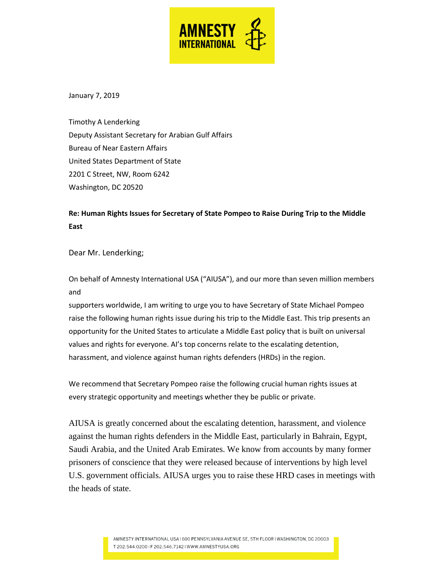

January 7, 2019

Timothy A Lenderking Deputy Assistant Secretary for Arabian Gulf Affairs Bureau of Near Eastern Affairs United States Department of State 2201 C Street, NW, Room 6242 Washington, DC 20520

# **Re: Human Rights Issues for Secretary of State Pompeo to Raise During Trip to the Middle East**

Dear Mr. Lenderking;

On behalf of Amnesty International USA ("AIUSA"), and our more than seven million members and

supporters worldwide, I am writing to urge you to have Secretary of State Michael Pompeo raise the following human rights issue during his trip to the Middle East. This trip presents an opportunity for the United States to articulate a Middle East policy that is built on universal values and rights for everyone. AI's top concerns relate to the escalating detention, harassment, and violence against human rights defenders (HRDs) in the region.

We recommend that Secretary Pompeo raise the following crucial human rights issues at every strategic opportunity and meetings whether they be public or private.

AIUSA is greatly concerned about the escalating detention, harassment, and violence against the human rights defenders in the Middle East, particularly in Bahrain, Egypt, Saudi Arabia, and the United Arab Emirates. We know from accounts by many former prisoners of conscience that they were released because of interventions by high level U.S. government officials. AIUSA urges you to raise these HRD cases in meetings with the heads of state.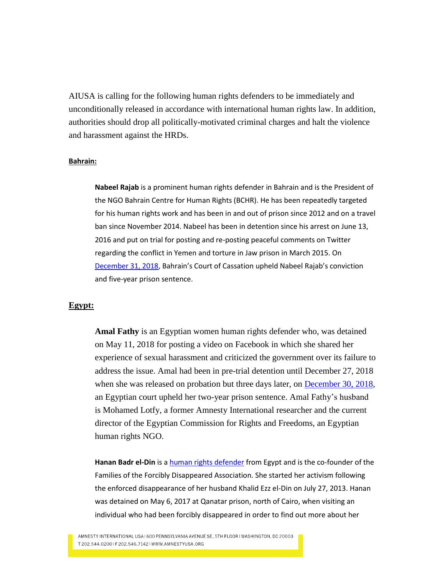AIUSA is calling for the following human rights defenders to be immediately and unconditionally released in accordance with international human rights law. In addition, authorities should drop all politically-motivated criminal charges and halt the violence and harassment against the HRDs.

#### **Bahrain:**

**Nabeel Rajab** is a prominent human rights defender in Bahrain and is the President of the NGO Bahrain Centre for Human Rights (BCHR). He has been repeatedly targeted for his human rights work and has been in and out of prison since 2012 and on a travel ban since November 2014. Nabeel has been in detention since his arrest on June 13, 2016 and put on trial for posting and re-posting peaceful comments on Twitter regarding the conflict in Yemen and torture in Jaw prison in March 2015. On [December 31, 2018,](https://www.amnesty.org/en/latest/news/2018/12/bahrain-five-year-prison-sentence-over-tweets-upheld-for-nabeel-rajab/) Bahrain's Court of Cassation upheld Nabeel Rajab's conviction and five-year prison sentence.

## **Egypt:**

**Amal Fathy** is an Egyptian women human rights defender who, was detained on May 11, 2018 for posting a video on Facebook in which she shared her experience of sexual harassment and criticized the government over its failure to address the issue. Amal had been in pre-trial detention until December 27, 2018 when she was released on probation but three days later, on [December 30, 2018,](https://www.amnesty.org/en/latest/news/2018/12/egypt-prison-term-for-human-rights-defender-who-spoke-out-about-sexual-harassment-an-outrageous-injustice/) an Egyptian court upheld her two-year prison sentence. Amal Fathy's husband is Mohamed Lotfy, a former Amnesty International researcher and the current director of the Egyptian Commission for Rights and Freedoms, an Egyptian human rights NGO.

**Hanan Badr el-Din** is a [human rights defender](https://www.amnesty.org/download/Documents/MDE1270192017ENGLISH.pdf) from Egypt and is the co-founder of the Families of the Forcibly Disappeared Association. She started her activism following the enforced disappearance of her husband Khalid Ezz el-Din on July 27, 2013. Hanan was detained on May 6, 2017 at Qanatar prison, north of Cairo, when visiting an individual who had been forcibly disappeared in order to find out more about her

AMNESTY INTERNATIONAL USA I 600 PENNSYLVANIA AVENUE SE, 5TH FLOOR I WASHINGTON, DC 20003 T 202.544.02001F 202.546.71421WWW.AMNESTYUSA.ORG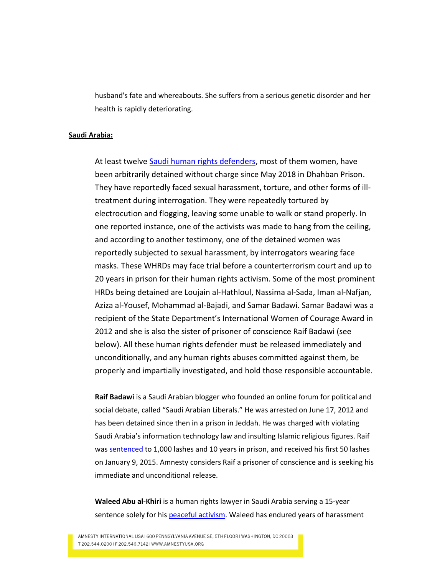husband's fate and whereabouts. She suffers from a serious genetic disorder and her health is rapidly deteriorating.

## **Saudi Arabia:**

At least twelve [Saudi human rights defenders,](https://www.amnesty.org/en/latest/news/2018/11/saudi-arabia-reports-of-torture-and-sexual-harassment-of-detained-activists/) most of them women, have been arbitrarily detained without charge since May 2018 in Dhahban Prison. They have reportedly faced sexual harassment, torture, and other forms of illtreatment during interrogation. They were repeatedly tortured by electrocution and flogging, leaving some unable to walk or stand properly. In one reported instance, one of the activists was made to hang from the ceiling, and according to another testimony, one of the detained women was reportedly subjected to sexual harassment, by interrogators wearing face masks. These WHRDs may face trial before a counterterrorism court and up to 20 years in prison for their human rights activism. Some of the most prominent HRDs being detained are Loujain al-Hathloul, Nassima al-Sada, Iman al-Nafjan, Aziza al-Yousef, Mohammad al-Bajadi, and Samar Badawi. Samar Badawi was a recipient of the State Department's International Women of Courage Award in 2012 and she is also the sister of prisoner of conscience Raif Badawi (see below). All these human rights defender must be released immediately and unconditionally, and any human rights abuses committed against them, be properly and impartially investigated, and hold those responsible accountable.

**Raif Badawi** is a Saudi Arabian blogger who founded an online forum for political and social debate, called "Saudi Arabian Liberals." He was arrested on June 17, 2012 and has been detained since then in a prison in Jeddah. He was charged with violating Saudi Arabia's information technology law and insulting Islamic religious figures. Raif wa[s sentenced](https://www.amnesty.org.uk/blogs/ether/raif-badawi-five-years-prisoner) to 1,000 lashes and 10 years in prison, and received his first 50 lashes on January 9, 2015. Amnesty considers Raif a prisoner of conscience and is seeking his immediate and unconditional release.

**Waleed Abu al-Khiri** is a human rights lawyer in Saudi Arabia serving a 15-year sentence solely for his [peaceful activism.](https://www.amnesty.org/en/latest/news/2014/04/saudi-arabia-waleed-abu-al-khair/) Waleed has endured years of harassment

AMNESTY INTERNATIONAL USA I 600 PENNSYLVANIA AVENUE SE, 5TH FLOOR I WASHINGTON, DC 20003 T 202.544.02001F 202.546.71421 WWW.AMNESTYUSA.ORG